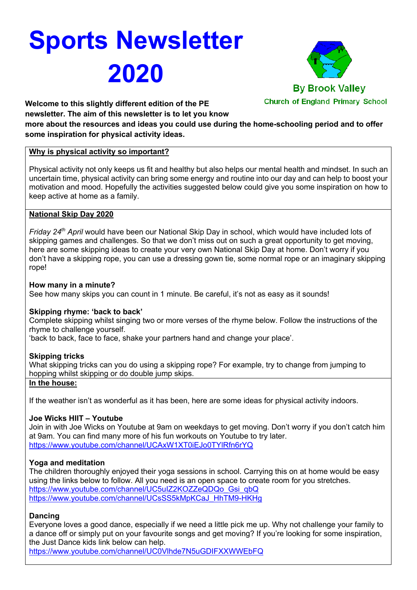# **Sports Newsletter 2020**



**Welcome to this slightly different edition of the PE newsletter. The aim of this newsletter is to let you know** 

**more about the resources and ideas you could use during the home-schooling period and to offer some inspiration for physical activity ideas.**

## **Why is physical activity so important?**

Physical activity not only keeps us fit and healthy but also helps our mental health and mindset. In such an uncertain time, physical activity can bring some energy and routine into our day and can help to boost your motivation and mood. Hopefully the activities suggested below could give you some inspiration on how to keep active at home as a family.

## **National Skip Day 2020**

*Friday 24th April* would have been our National Skip Day in school, which would have included lots of skipping games and challenges. So that we don't miss out on such a great opportunity to get moving, here are some skipping ideas to create your very own National Skip Day at home. Don't worry if you don't have a skipping rope, you can use a dressing gown tie, some normal rope or an imaginary skipping rope!

## **How many in a minute?**

See how many skips you can count in 1 minute. Be careful, it's not as easy as it sounds!

## **Skipping rhyme: 'back to back'**

Complete skipping whilst singing two or more verses of the rhyme below. Follow the instructions of the rhyme to challenge yourself.

'back to back, face to face, shake your partners hand and change your place'.

## **Skipping tricks**

What skipping tricks can you do using a skipping rope? For example, try to change from jumping to hopping whilst skipping or do double jump skips.

## **In the house:**

If the weather isn't as wonderful as it has been, here are some ideas for physical activity indoors.

## **Joe Wicks HIIT – Youtube**

Join in with Joe Wicks on Youtube at 9am on weekdays to get moving. Don't worry if you don't catch him at 9am. You can find many more of his fun workouts on Youtube to try later. https://www.youtube.com/channel/UCAxW1XT0iEJo0TYlRfn6rYQ

## **Yoga and meditation**

The children thoroughly enjoyed their yoga sessions in school. Carrying this on at home would be easy using the links below to follow. All you need is an open space to create room for you stretches. https://www.youtube.com/channel/UC5uIZ2KOZZeQDQo\_Gsi\_qbQ https://www.youtube.com/channel/UCsSS5kMpKCaJ\_HhTM9-HKHg

## **Dancing**

Everyone loves a good dance, especially if we need a little pick me up. Why not challenge your family to a dance off or simply put on your favourite songs and get moving? If you're looking for some inspiration, the Just Dance kids link below can help.

https://www.youtube.com/channel/UC0Vlhde7N5uGDIFXXWWEbFQ